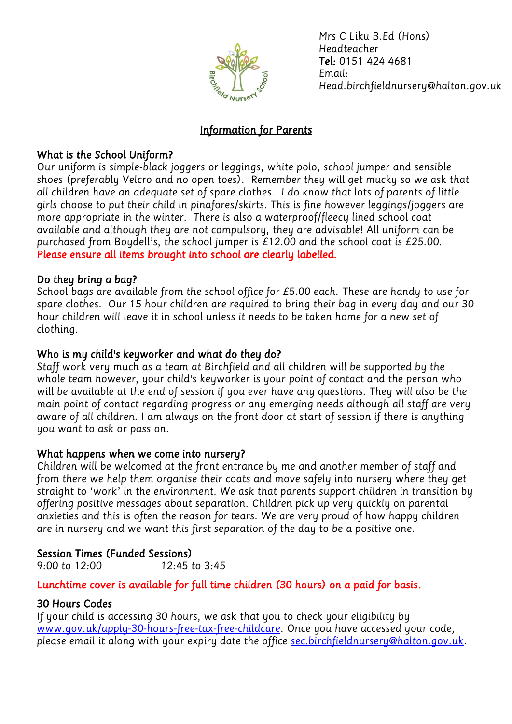

*Mrs C Liku B.Ed (Hons) Headteacher Tel: 0151 424 4681 Email: Head.birchfieldnursery@halton.gov.uk*

## *Information for Parents*

## *What is the School Uniform?*

*Our uniform is simple-black joggers or leggings, white polo, school jumper and sensible shoes (preferably Velcro and no open toes). Remember they will get mucky so we ask that all children have an adequate set of spare clothes. I do know that lots of parents of little girls choose to put their child in pinafores/skirts. This is fine however leggings/joggers are more appropriate in the winter. There is also a waterproof/fleecy lined school coat available and although they are not compulsory, they are advisable! All uniform can be purchased from Boydell's, the school jumper is £12.00 and the school coat is £25.00. Please ensure all items brought into school are clearly labelled.* 

# *Do they bring a bag?*

*School bags are available from the school office for £5.00 each. These are handy to use for spare clothes. Our 15 hour children are required to bring their bag in every day and our 30 hour children will leave it in school unless it needs to be taken home for a new set of clothing.*

# *Who is my child's keyworker and what do they do?*

*Staff work very much as a team at Birchfield and all children will be supported by the whole team however, your child's keyworker is your point of contact and the person who will be available at the end of session if you ever have any questions. They will also be the main point of contact regarding progress or any emerging needs although all staff are very aware of all children. I am always on the front door at start of session if there is anything you want to ask or pass on.*

#### *What happens when we come into nursery?*

*Children will be welcomed at the front entrance by me and another member of staff and from there we help them organise their coats and move safely into nursery where they get straight to 'work' in the environment. We ask that parents support children in transition by offering positive messages about separation. Children pick up very quickly on parental anxieties and this is often the reason for tears. We are very proud of how happy children are in nursery and we want this first separation of the day to be a positive one.*

# *Session Times (Funded Sessions)*

*9:00 to 12:00 12:45 to 3:45*

#### *Lunchtime cover is available for full time children (30 hours) on a paid for basis.*

#### *30 Hours Codes*

*If your child is accessing 30 hours, we ask that you to check your eligibility by [www.gov.uk/apply-30-hours-free-tax-free-childcare.](http://www.gov.uk/apply-30-hours-free-tax-free-childcare) Once you have accessed your code, please email it along with your expiry date the office [sec.birchfieldnursery@halton.gov.uk.](mailto:sec.birchfieldnursery@halton.gov.uk)*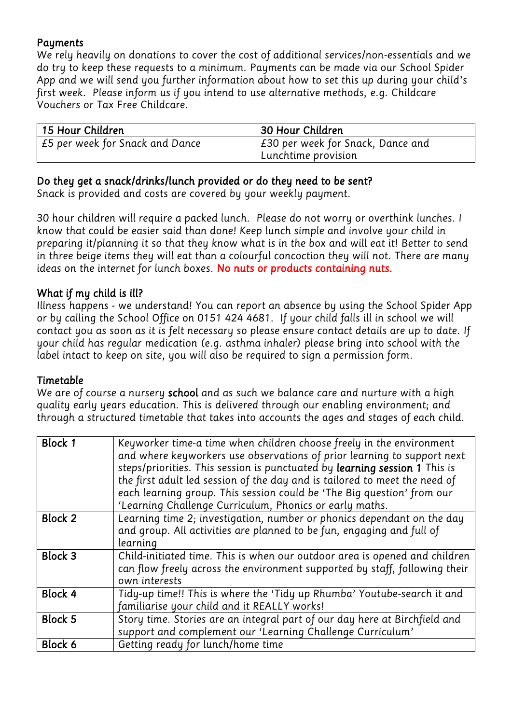### *Payments*

*We rely heavily on donations to cover the cost of additional services/non-essentials and we do try to keep these requests to a minimum. Payments can be made via our School Spider App and we will send you further information about how to set this up during your child's first week. Please inform us if you intend to use alternative methods, e.g. Childcare Vouchers or Tax Free Childcare.* 

| 15 Hour Children                | 30 Hour Children                  |  |
|---------------------------------|-----------------------------------|--|
| E5 per week for Snack and Dance | £30 per week for Snack, Dance and |  |
|                                 | Lunchtime provision               |  |

# *Do they get a snack/drinks/lunch provided or do they need to be sent?*

*Snack is provided and costs are covered by your weekly payment.*

*30 hour children will require a packed lunch. Please do not worry or overthink lunches. I know that could be easier said than done! Keep lunch simple and involve your child in preparing it/planning it so that they know what is in the box and will eat it! Better to send*  in three beige items they will eat than a colourful concoction they will not. There are many *ideas on the internet for lunch boxes. No nuts or products containing nuts.* 

## *What if my child is ill?*

*Illness happens - we understand! You can report an absence by using the School Spider App or by calling the School Office on 0151 424 4681. If your child falls ill in school we will contact you as soon as it is felt necessary so please ensure contact details are up to date. If your child has regular medication (e.g. asthma inhaler) please bring into school with the label intact to keep on site, you will also be required to sign a permission form.*

#### *Timetable*

*We are of course a nursery school and as such we balance care and nurture with a high quality early years education. This is delivered through our enabling environment; and through a structured timetable that takes into accounts the ages and stages of each child.*

| <b>Block 1</b> | Keyworker time-a time when children choose freely in the environment<br>and where keyworkers use observations of prior learning to support next<br>steps/priorities. This session is punctuated by learning session 1 This is<br>the first adult led session of the day and is tailored to meet the need of<br>each learning group. This session could be 'The Big question' from our<br>'Learning Challenge Curriculum, Phonics or early maths. |
|----------------|--------------------------------------------------------------------------------------------------------------------------------------------------------------------------------------------------------------------------------------------------------------------------------------------------------------------------------------------------------------------------------------------------------------------------------------------------|
| <b>Block 2</b> | Learning time 2; investigation, number or phonics dependant on the day                                                                                                                                                                                                                                                                                                                                                                           |
|                | and group. All activities are planned to be fun, engaging and full of                                                                                                                                                                                                                                                                                                                                                                            |
|                | learning                                                                                                                                                                                                                                                                                                                                                                                                                                         |
| <b>Block 3</b> | Child-initiated time. This is when our outdoor area is opened and children                                                                                                                                                                                                                                                                                                                                                                       |
|                | can flow freely across the environment supported by staff, following their                                                                                                                                                                                                                                                                                                                                                                       |
|                | own interests                                                                                                                                                                                                                                                                                                                                                                                                                                    |
| Block 4        | Tidy-up time!! This is where the 'Tidy up Rhumba' Youtube-search it and                                                                                                                                                                                                                                                                                                                                                                          |
|                | familiarise your child and it REALLY works!                                                                                                                                                                                                                                                                                                                                                                                                      |
| <b>Block 5</b> | Story time. Stories are an integral part of our day here at Birchfield and                                                                                                                                                                                                                                                                                                                                                                       |
|                | support and complement our 'Learning Challenge Curriculum'                                                                                                                                                                                                                                                                                                                                                                                       |
| Block 6        | Getting ready for lunch/home time                                                                                                                                                                                                                                                                                                                                                                                                                |